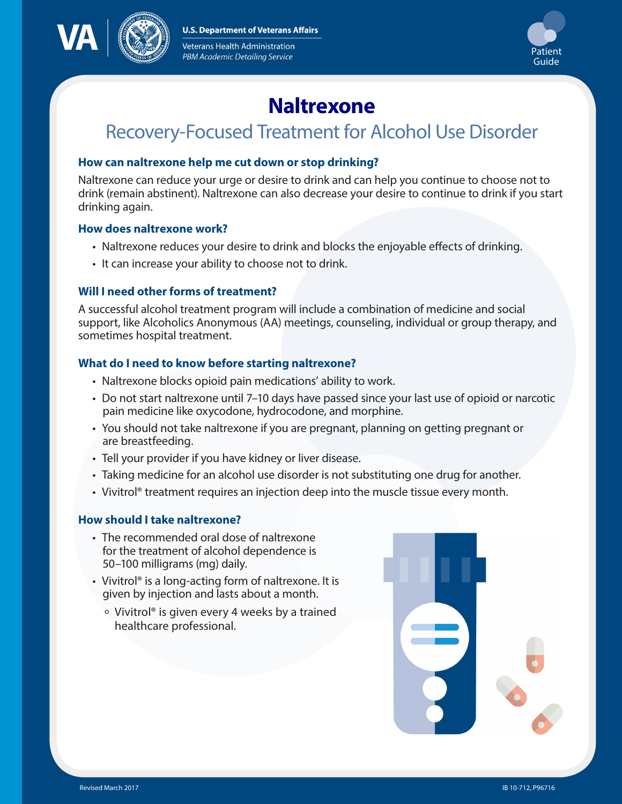**U.S. Department of Veterans Affairs** 



Veterans Health Administration PBM Academic Detailing Service



# **Naltrexone**

# Recovery-Focused Treatment for Alcohol Use Disorder

#### **How can naltrexone help me cut down or stop drinking?**

Naltrexone can reduce your urge or desire to drink and can help you continue to choose not to drink (remain abstinent). Naltrexone can also decrease your desire to continue to drink if you start drinking again.

#### **How does naltrexone work?**

- Naltrexone reduces your desire to drink and blocks the enjoyable effects of drinking.
- It can increase your ability to choose not to drink.

# **Will I need other forms of treatment?**

A successful alcohol treatment program will include a combination of medicine and social support, like Alcoholics Anonymous (AA) meetings, counseling, individual or group therapy, and sometimes hospital treatment.

### **What do I need to know before starting naltrexone?**

- Naltrexone blocks opioid pain medications' ability to work.
- Do not start naltrexone until 7–10 days have passed since your last use of opioid or narcotic pain medicine like oxycodone, hydrocodone, and morphine.
- You should not take naltrexone if you are pregnant, planning on getting pregnant or are breastfeeding.
- Tell your provider if you have kidney or liver disease.
- Taking medicine for an alcohol use disorder is not substituting one drug for another.
- Vivitrol® treatment requires an injection deep into the muscle tissue every month.

# **How should I take naltrexone?**

- The recommended oral dose of naltrexone for the treatment of alcohol dependence is 50–100 milligrams (mg) daily.
- Vivitrol<sup>®</sup> is a long-acting form of naltrexone. It is given by injection and lasts about a month.
	- <sup>o</sup> Vivitrol® is given every 4 weeks by a trained healthcare professional.